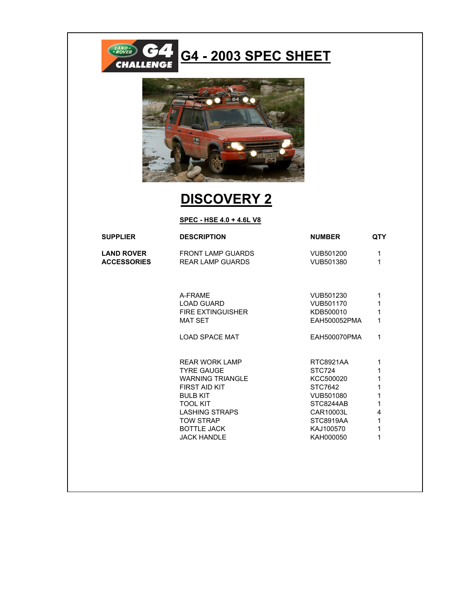

## **G4 - 2003 SPEC SHEET**



## **DISCOVERY 2**

**SPEC - HSE 4.0 + 4.6L V8**

| <b>SUPPLIER</b>    | <b>DESCRIPTION</b>       | <b>NUMBER</b> | <b>QTY</b> |
|--------------------|--------------------------|---------------|------------|
| <b>LAND ROVER</b>  | FRONT LAMP GUARDS        | VUB501200     | 1<br>1     |
| <b>ACCESSORIES</b> | REAR LAMP GUARDS         | VUB501380     |            |
|                    | A-FRAME                  | VUB501230     | 1          |
|                    | <b>LOAD GUARD</b>        | VUB501170     | 1          |
|                    | <b>FIRE EXTINGUISHER</b> | KDB500010     | 1          |
|                    | <b>MAT SET</b>           | EAH500052PMA  | 1          |
|                    | <b>LOAD SPACE MAT</b>    | EAH500070PMA  | 1          |
|                    | REAR WORK LAMP           | RTC8921AA     | 1          |
|                    | <b>TYRE GAUGE</b>        | STC724        | 1          |
|                    | <b>WARNING TRIANGLE</b>  | KCC500020     | 1          |
|                    | FIRST AID KIT            | STC7642       | 1          |
|                    | <b>BULB KIT</b>          | VUB501080     | 1          |
|                    | <b>TOOL KIT</b>          | STC8244AB     | 1          |
|                    | LASHING STRAPS           | CAR10003L     | 4          |
|                    | <b>TOW STRAP</b>         | STC8919AA     | 1          |
|                    | <b>BOTTLE JACK</b>       | KAJ100570     | 1          |
|                    | <b>JACK HANDLE</b>       | KAH000050     | 1          |
|                    |                          |               |            |
|                    |                          |               |            |
|                    |                          |               |            |
|                    |                          |               |            |
|                    |                          |               |            |